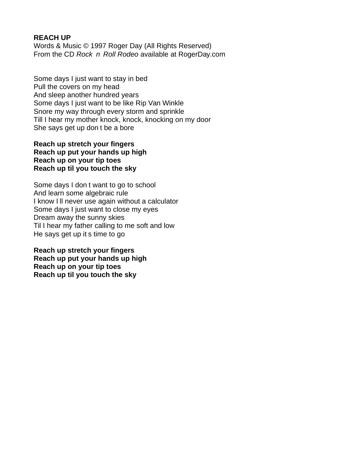#### **REACH UP**

Words & Music © 1997 Roger Day (All Rights Reserved) From the CD Rock n Roll Rode available at RogerDay.com

Some days I just want to stay in bed Pull the covers on my head And sleep another hundred years Some days I just want to be like Rip Van Winkle Snore my way through every storm and sprinkle Till I hear my mother knock, knock, knocking on my door She says get up don t be a bore

## **Reach up stretch your fingers Reach up put your hands up high Reach up on your tip toes Reach up til you touch the sky**

Some days I don t want to go to school And learn some algebraic rule I know I ll never use again without a calculator Some days I just want to close my eyes Dream away the sunny skies Til I hear my father calling to me soft and low He says get up it s time to go

**Reach up stretch your fingers Reach up put your hands up high Reach up on your tip toes Reach up til you touch the sky**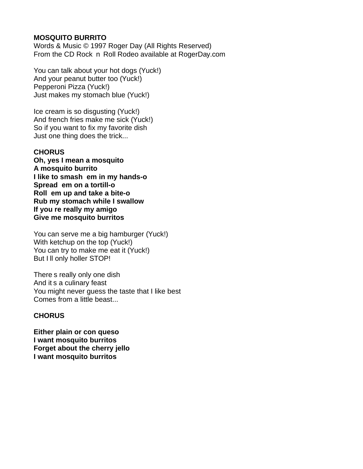## **MOSQUITO BURRITO**

Words & Music © 1997 Roger Day (All Rights Reserved) From the CD Rock n Roll Rodeo available at RogerDay.com

You can talk about your hot dogs (Yuck!) And your peanut butter too (Yuck!) Pepperoni Pizza (Yuck!) Just makes my stomach blue (Yuck!)

Ice cream is so disgusting (Yuck!) And french fries make me sick (Yuck!) So if you want to fix my favorite dish Just one thing does the trick...

## **CHORUS**

**Oh, yes I mean a mosquito A mosquito burrito I like to smash em in my hands-o Spread em on a tortill-o Roll em up and take a bite-o Rub my stomach while I swallow If you re really my amigo Give me mosquito burritos**

You can serve me a big hamburger (Yuck!) With ketchup on the top (Yuck!) You can try to make me eat it (Yuck!) But I II only holler STOP!

There s really only one dish And it s a culinary feast You might never guess the taste that I like best Comes from a little beast...

## **CHORUS**

**Either plain or con queso I want mosquito burritos Forget about the cherry jello I want mosquito burritos**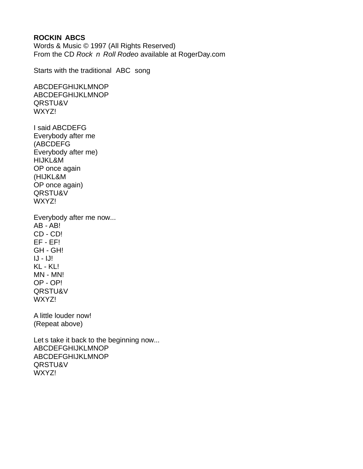### **ROCKIN ABCS**

Words & Music © 1997 (All Rights Reserved) From the CD Rock  $n$  Roll Rode available at RogerDay.com

Starts with the traditional ABC song

ABCDEFGHIJKLMNOP ABCDEFGHIJKLMNOP QRSTU&V WXYZ!

I said ABCDEFG Everybody after me (ABCDEFG Everybody after me) HIJKL&M OP once again (HIJKL&M OP once again) QRSTU&V WXYZ!

Everybody after me now... AB - AB! CD - CD! EF - EF! GH - GH!  $IJ - IJI$ KL - KL! MN - MN! OP - OP! QRSTU&V WXYZ!

A little louder now! (Repeat above)

Let s take it back to the beginning now... ABCDEFGHIJKLMNOP ABCDEFGHIJKLMNOP QRSTU&V WXYZ!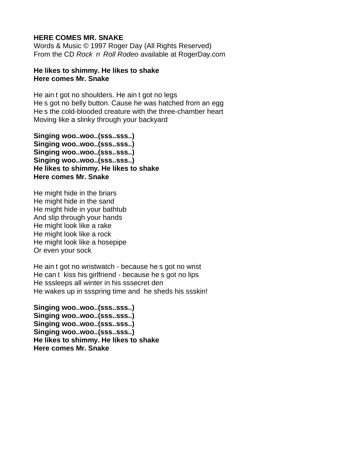#### **HERE COMES MR. SNAKE**

Words & Music © 1997 Roger Day (All Rights Reserved) From the CD Rock n Roll Rode available at RogerDay.com

#### **He likes to shimmy. He likes to shake Here comes Mr. Snake**

He ain t got no shoulders. He ain t got no legs He s got no belly button. Cause he was hatched from an egg He s the cold-blooded creature with the three-chamber heart Moving like a slinky through your backyard

**Singing woo..woo..(sss..sss..) Singing woo..woo..(sss..sss..) Singing woo..woo..(sss..sss..) Singing woo..woo..(sss..sss..) He likes to shimmy. He likes to shake Here comes Mr. Snake**

He might hide in the briars He might hide in the sand He might hide in your bathtub And slip through your hands He might look like a rake He might look like a rock He might look like a hosepipe Or even your sock

He ain t got no wristwatch - because he s got no wrist He can t kiss his girlfriend - because he s got no lips He sssleeps all winter in his sssecret den He wakes up in ssspring time and he sheds his ssskin!

**Singing woo..woo..(sss..sss..) Singing woo..woo..(sss..sss..) Singing woo..woo..(sss..sss..) Singing woo..woo..(sss..sss..) He likes to shimmy. He likes to shake Here comes Mr. Snake**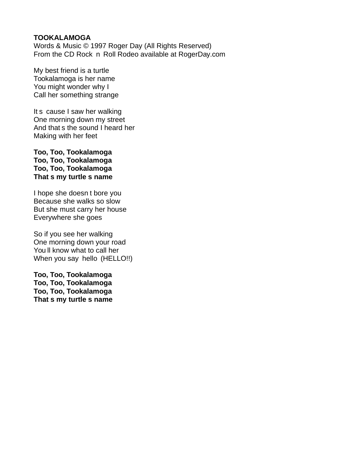#### **TOOKALAMOGA**

Words & Music © 1997 Roger Day (All Rights Reserved) From the CD Rock n Roll Rodeo available at RogerDay.com

My best friend is a turtle Tookalamoga is her name You might wonder why I Call her something strange

It s cause I saw her walking One morning down my street And that s the sound I heard her Making with her feet

**Too, Too, Tookalamoga Too, Too, Tookalamoga Too, Too, Tookalamoga That s my turtle s name**

I hope she doesn t bore you Because she walks so slow But she must carry her house Everywhere she goes

So if you see her walking One morning down your road You ll know what to call her When you say hello (HELLO!!)

**Too, Too, Tookalamoga Too, Too, Tookalamoga Too, Too, Tookalamoga That s my turtle s name**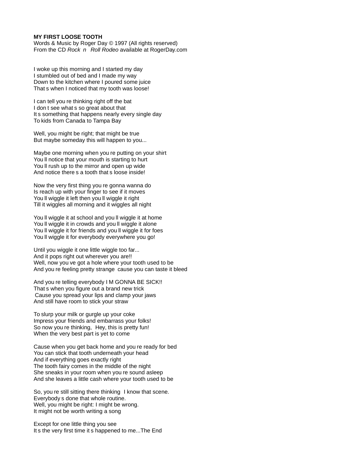#### **MY FIRST LOOSE TOOTH**

Words & Music by Roger Day © 1997 (All rights reserved) From the CD Rock  $n$  Roll Rode available at RogerDay.com

I woke up this morning and I started my day I stumbled out of bed and I made my way Down to the kitchen where I poured some juice That s when I noticed that my tooth was loose!

I can tell you re thinking right off the bat I don t see what s so great about that It s something that happens nearly every single day To kids from Canada to Tampa Bay

Well, you might be right; that might be true But maybe someday this will happen to you...

Maybe one morning when you re putting on your shirt You ll notice that your mouth is starting to hurt You ll rush up to the mirror and open up wide And notice there s a tooth that s loose inside!

Now the very first thing you re gonna wanna do Is reach up with your finger to see if it moves You ll wiggle it left then you ll wiggle it right Till it wiggles all morning and it wiggles all night

You ll wiggle it at school and you ll wiggle it at home You ll wiggle it in crowds and you ll wiggle it alone You ll wiggle it for friends and you ll wiggle it for foes You ll wiggle it for everybody everywhere you go!

Until you wiggle it one little wiggle too far... And it pops right out wherever you are!! Well, now you ve got a hole where your tooth used to be And you re feeling pretty strange cause you can taste it bleed

And you re telling everybody I M GONNA BE SICK!! That s when you figure out a brand new trick Cause you spread your lips and clamp your jaws And still have room to stick your straw

To slurp your milk or gurgle up your coke Impress your friends and embarrass your folks! So now you re thinking, Hey, this is pretty fun! When the very best part is yet to come

Cause when you get back home and you re ready for bed You can stick that tooth underneath your head And if everything goes exactly right The tooth fairy comes in the middle of the night She sneaks in your room when you re sound asleep And she leaves a little cash where your tooth used to be

So, you re still sitting there thinking I know that scene. Everybody s done that whole routine. Well, you might be right: I might be wrong. It might not be worth writing a song

Except for one little thing you see It s the very first time it s happened to me...The End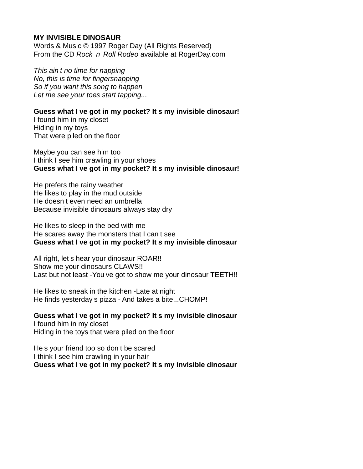#### **MY INVISIBLE DINOSAUR**

Words & Music © 1997 Roger Day (All Rights Reserved) From the CD Rock n Roll Rode available at RogerDay.com

This ain t no time for napping No, this is time for fingersnapping So if you want this song to happen Let me see your toes start tapping...

**Guess what I ve got in my pocket? It s my invisible dinosaur!** I found him in my closet

Hiding in my toys That were piled on the floor

Maybe you can see him too I think I see him crawling in your shoes **Guess what I ve got in my pocket? It s my invisible dinosaur!**

He prefers the rainy weather He likes to play in the mud outside He doesn t even need an umbrella Because invisible dinosaurs always stay dry

He likes to sleep in the bed with me He scares away the monsters that I can t see **Guess what I ve got in my pocket? It s my invisible dinosaur**

All right, let s hear your dinosaur ROAR!! Show me your dinosaurs CLAWS!! Last but not least -You ve got to show me your dinosaur TEETH!!

He likes to sneak in the kitchen -Late at night He finds yesterday s pizza - And takes a bite...CHOMP!

**Guess what I ve got in my pocket? It s my invisible dinosaur** I found him in my closet Hiding in the toys that were piled on the floor

He s your friend too so don t be scared I think I see him crawling in your hair **Guess what I ve got in my pocket? It s my invisible dinosaur**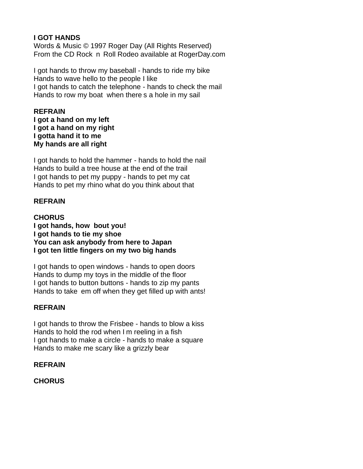## **I GOT HANDS**

Words & Music © 1997 Roger Day (All Rights Reserved) From the CD Rock n Roll Rodeo available at RogerDay.com

I got hands to throw my baseball - hands to ride my bike Hands to wave hello to the people I like I got hands to catch the telephone - hands to check the mail Hands to row my boat when there s a hole in my sail

### **REFRAIN**

**I got a hand on my left I got a hand on my right I gotta hand it to me My hands are all right**

I got hands to hold the hammer - hands to hold the nail Hands to build a tree house at the end of the trail I got hands to pet my puppy - hands to pet my cat Hands to pet my rhino what do you think about that

## **REFRAIN**

**CHORUS I got hands, how bout you! I got hands to tie my shoe You can ask anybody from here to Japan I got ten little fingers on my two big hands**

I got hands to open windows - hands to open doors Hands to dump my toys in the middle of the floor I got hands to button buttons - hands to zip my pants Hands to take em off when they get filled up with ants!

## **REFRAIN**

I got hands to throw the Frisbee - hands to blow a kiss Hands to hold the rod when I m reeling in a fish I got hands to make a circle - hands to make a square Hands to make me scary like a grizzly bear

#### **REFRAIN**

**CHORUS**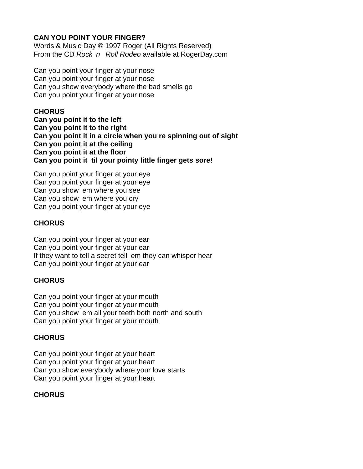## **CAN YOU POINT YOUR FINGER?**

Words & Music Day © 1997 Roger (All Rights Reserved) From the CD Rock n Roll Rode available at RogerDay.com

Can you point your finger at your nose Can you point your finger at your nose Can you show everybody where the bad smells go Can you point your finger at your nose

## **CHORUS**

**Can you point it to the left Can you point it to the right Can you point it in a circle when you re spinning out of sight Can you point it at the ceiling Can you point it at the floor Can you point it til your pointy little finger gets sore!**

Can you point your finger at your eye Can you point your finger at your eye Can you show em where you see Can you show em where you cry Can you point your finger at your eye

## **CHORUS**

Can you point your finger at your ear Can you point your finger at your ear If they want to tell a secret tell em they can whisper hear Can you point your finger at your ear

## **CHORUS**

Can you point your finger at your mouth Can you point your finger at your mouth Can you show em all your teeth both north and south Can you point your finger at your mouth

## **CHORUS**

Can you point your finger at your heart Can you point your finger at your heart Can you show everybody where your love starts Can you point your finger at your heart

# **CHORUS**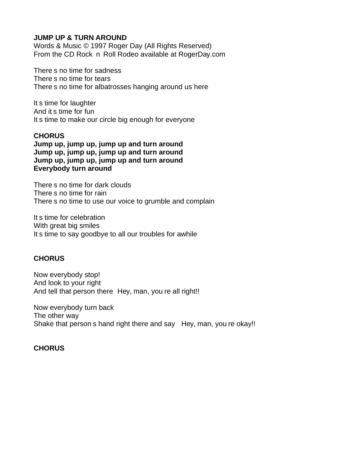### **JUMP UP & TURN AROUND**

Words & Music © 1997 Roger Day (All Rights Reserved) From the CD Rock n Roll Rodeo available at RogerDay.com

There s no time for sadness There s no time for tears There s no time for albatrosses hanging around us here

It s time for laughter And it s time for fun It s time to make our circle big enough for everyone

### **CHORUS**

**Jump up, jump up, jump up and turn around Jump up, jump up, jump up and turn around Jump up, jump up, jump up and turn around Everybody turn around**

There s no time for dark clouds There s no time for rain There s no time to use our voice to grumble and complain

It s time for celebration With great big smiles It s time to say goodbye to all our troubles for awhile

## **CHORUS**

Now everybody stop! And look to your right And tell that person there Hey, man, you re all right!!

Now everybody turn back The other way Shake that person s hand right there and say Hey, man, you re okay!!

## **CHORUS**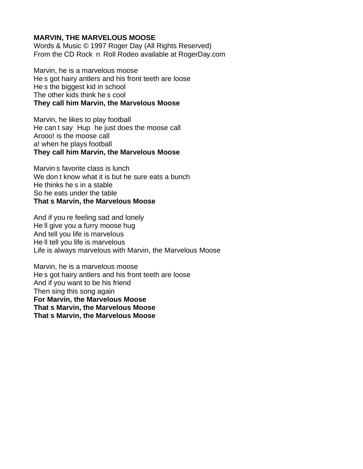### **MARVIN, THE MARVELOUS MOOSE**

Words & Music © 1997 Roger Day (All Rights Reserved) From the CD Rock n Roll Rodeo available at RogerDay.com

Marvin, he is a marvelous moose He s got hairy antlers and his front teeth are loose He s the biggest kid in school The other kids think he s cool **They call him Marvin, the Marvelous Moose**

Marvin, he likes to play football He can t say Hup he just does the moose call Arooo! is the moose call a! when he plays football **They call him Marvin, the Marvelous Moose**

Marvin s favorite class is lunch We don t know what it is but he sure eats a bunch He thinks he s in a stable So he eats under the table **That s Marvin, the Marvelous Moose**

And if you re feeling sad and lonely He ll give you a furry moose hug And tell you life is marvelous He ll tell you life is marvelous Life is always marvelous with Marvin, the Marvelous Moose

Marvin, he is a marvelous moose He s got hairy antlers and his front teeth are loose And if you want to be his friend Then sing this song again **For Marvin, the Marvelous Moose That s Marvin, the Marvelous Moose That s Marvin, the Marvelous Moose**